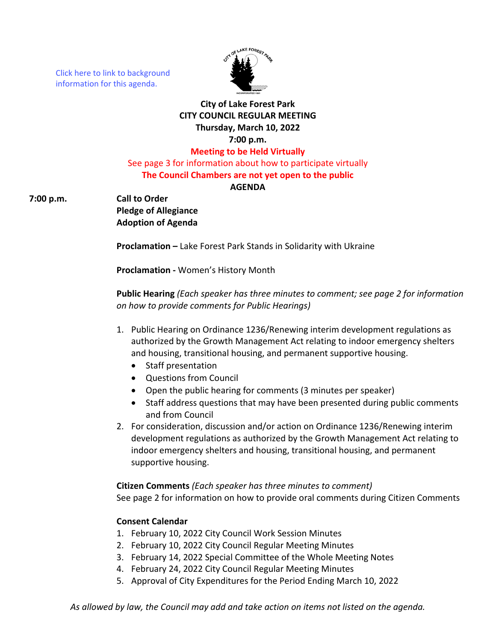[Click here to link to background](https://media.avcaptureall.cloud/meeting/e6fd950d-d60c-4796-9f1d-982bfda3f1d3) information for this agenda.



# **City of Lake Forest Park CITY COUNCIL REGULAR MEETING Thursday, March 10, 2022 7:00 p.m. Meeting to be Held Virtually**

See page 3 for information about how to participate virtually **The Council Chambers are not yet open to the public**

#### **AGENDA**

**7:00 p.m. Call to Order**

**Pledge of Allegiance Adoption of Agenda**

**Proclamation –** Lake Forest Park Stands in Solidarity with Ukraine

**Proclamation -** Women's History Month

**Public Hearing** *(Each speaker has three minutes to comment; see page 2 for information on how to provide comments for Public Hearings)*

- 1. Public Hearing on Ordinance 1236/Renewing interim development regulations as authorized by the Growth Management Act relating to indoor emergency shelters and housing, transitional housing, and permanent supportive housing.
	- Staff presentation
	- Questions from Council
	- Open the public hearing for comments (3 minutes per speaker)
	- Staff address questions that may have been presented during public comments and from Council
- 2. For consideration, discussion and/or action on Ordinance 1236/Renewing interim development regulations as authorized by the Growth Management Act relating to indoor emergency shelters and housing, transitional housing, and permanent supportive housing.

#### **Citizen Comments** *(Each speaker has three minutes to comment)*

See page 2 for information on how to provide oral comments during Citizen Comments

# **Consent Calendar**

- 1. February 10, 2022 City Council Work Session Minutes
- 2. February 10, 2022 City Council Regular Meeting Minutes
- 3. February 14, 2022 Special Committee of the Whole Meeting Notes
- 4. February 24, 2022 City Council Regular Meeting Minutes
- 5. Approval of City Expenditures for the Period Ending March 10, 2022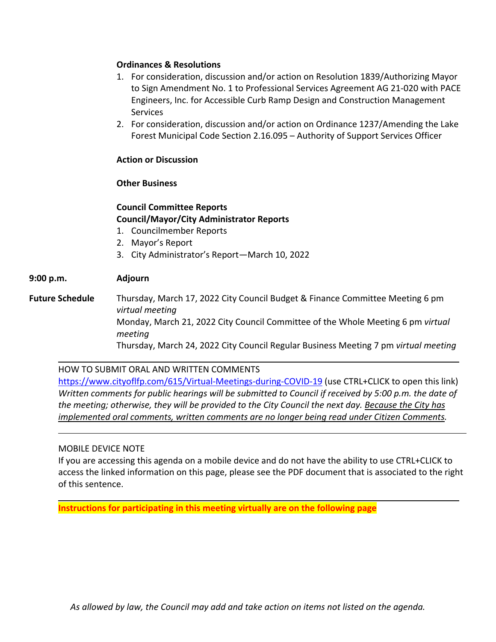### **Ordinances & Resolutions**

- 1. For consideration, discussion and/or action on Resolution 1839/Authorizing Mayor to Sign Amendment No. 1 to Professional Services Agreement AG 21-020 with PACE Engineers, Inc. for Accessible Curb Ramp Design and Construction Management **Services**
- 2. For consideration, discussion and/or action on Ordinance 1237/Amending the Lake Forest Municipal Code Section 2.16.095 – Authority of Support Services Officer

#### **Action or Discussion**

#### **Other Business**

### **Council Committee Reports Council/Mayor/City Administrator Reports**

- 1. Councilmember Reports
- 2. Mayor's Report
- 3. City Administrator's Report—March 10, 2022

# **9:00 p.m. Adjourn**

**Future Schedule** Thursday, March 17, 2022 City Council Budget & Finance Committee Meeting 6 pm *virtual meeting* Monday, March 21, 2022 City Council Committee of the Whole Meeting 6 pm *virtual meeting* Thursday, March 24, 2022 City Council Regular Business Meeting 7 pm *virtual meeting*

HOW TO SUBMIT ORAL AND WRITTEN COMMENTS <https://www.cityoflfp.com/615/Virtual-Meetings-during-COVID-19> (use CTRL+CLICK to open this link) *Written comments for public hearings will be submitted to Council if received by 5:00 p.m. the date of the meeting; otherwise, they will be provided to the City Council the next day. Because the City has implemented oral comments, written comments are no longer being read under Citizen Comments.*

#### MOBILE DEVICE NOTE

If you are accessing this agenda on a mobile device and do not have the ability to use CTRL+CLICK to access the linked information on this page, please see the PDF document that is associated to the right of this sentence.

**Instructions for participating in this meeting virtually are on the following page**